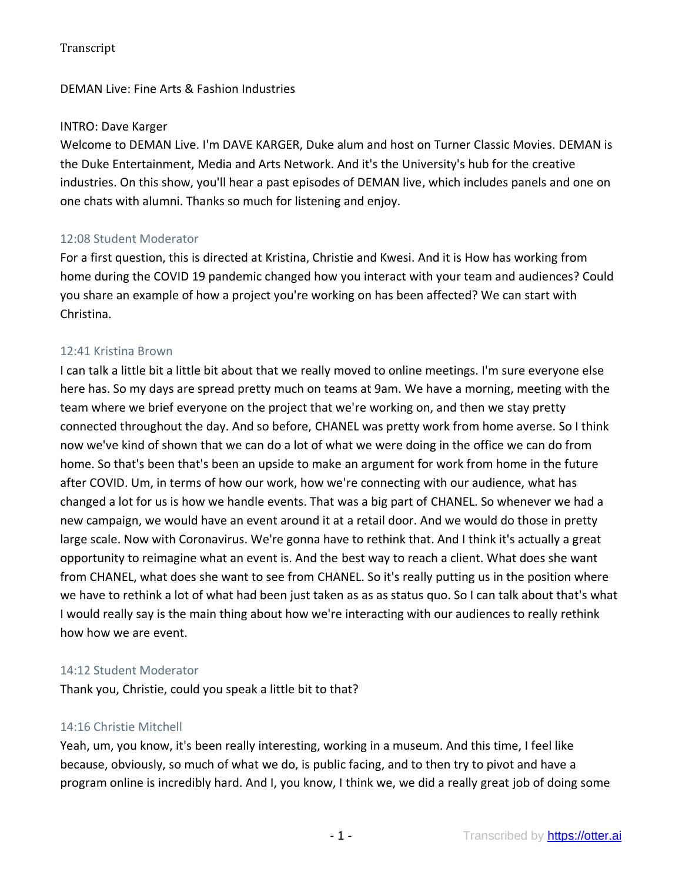## DEMAN Live: Fine Arts & Fashion Industries

### INTRO: Dave Karger

Welcome to DEMAN Live. I'm DAVE KARGER, Duke alum and host on Turner Classic Movies. DEMAN is the Duke Entertainment, Media and Arts Network. And it's the University's hub for the creative industries. On this show, you'll hear a past episodes of DEMAN live, which includes panels and one on one chats with alumni. Thanks so much for listening and enjoy.

## 12:08 Student Moderator

For a first question, this is directed at Kristina, Christie and Kwesi. And it is How has working from home during the COVID 19 pandemic changed how you interact with your team and audiences? Could you share an example of how a project you're working on has been affected? We can start with Christina.

### 12:41 Kristina Brown

I can talk a little bit a little bit about that we really moved to online meetings. I'm sure everyone else here has. So my days are spread pretty much on teams at 9am. We have a morning, meeting with the team where we brief everyone on the project that we're working on, and then we stay pretty connected throughout the day. And so before, CHANEL was pretty work from home averse. So I think now we've kind of shown that we can do a lot of what we were doing in the office we can do from home. So that's been that's been an upside to make an argument for work from home in the future after COVID. Um, in terms of how our work, how we're connecting with our audience, what has changed a lot for us is how we handle events. That was a big part of CHANEL. So whenever we had a new campaign, we would have an event around it at a retail door. And we would do those in pretty large scale. Now with Coronavirus. We're gonna have to rethink that. And I think it's actually a great opportunity to reimagine what an event is. And the best way to reach a client. What does she want from CHANEL, what does she want to see from CHANEL. So it's really putting us in the position where we have to rethink a lot of what had been just taken as as as status quo. So I can talk about that's what I would really say is the main thing about how we're interacting with our audiences to really rethink how how we are event.

### 14:12 Student Moderator

Thank you, Christie, could you speak a little bit to that?

### 14:16 Christie Mitchell

Yeah, um, you know, it's been really interesting, working in a museum. And this time, I feel like because, obviously, so much of what we do, is public facing, and to then try to pivot and have a program online is incredibly hard. And I, you know, I think we, we did a really great job of doing some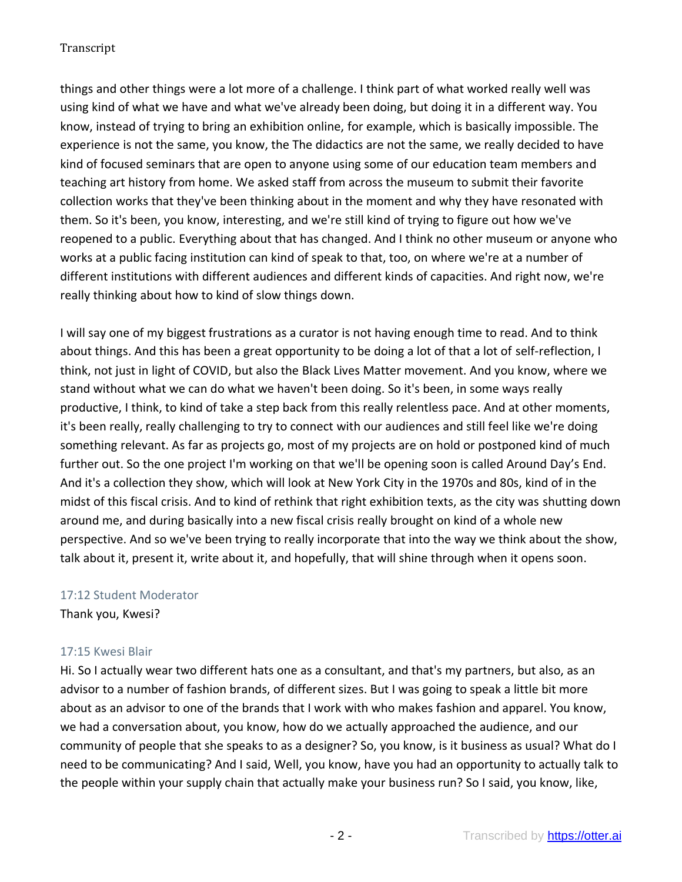things and other things were a lot more of a challenge. I think part of what worked really well was using kind of what we have and what we've already been doing, but doing it in a different way. You know, instead of trying to bring an exhibition online, for example, which is basically impossible. The experience is not the same, you know, the The didactics are not the same, we really decided to have kind of focused seminars that are open to anyone using some of our education team members and teaching art history from home. We asked staff from across the museum to submit their favorite collection works that they've been thinking about in the moment and why they have resonated with them. So it's been, you know, interesting, and we're still kind of trying to figure out how we've reopened to a public. Everything about that has changed. And I think no other museum or anyone who works at a public facing institution can kind of speak to that, too, on where we're at a number of different institutions with different audiences and different kinds of capacities. And right now, we're really thinking about how to kind of slow things down.

I will say one of my biggest frustrations as a curator is not having enough time to read. And to think about things. And this has been a great opportunity to be doing a lot of that a lot of self-reflection, I think, not just in light of COVID, but also the Black Lives Matter movement. And you know, where we stand without what we can do what we haven't been doing. So it's been, in some ways really productive, I think, to kind of take a step back from this really relentless pace. And at other moments, it's been really, really challenging to try to connect with our audiences and still feel like we're doing something relevant. As far as projects go, most of my projects are on hold or postponed kind of much further out. So the one project I'm working on that we'll be opening soon is called Around Day's End. And it's a collection they show, which will look at New York City in the 1970s and 80s, kind of in the midst of this fiscal crisis. And to kind of rethink that right exhibition texts, as the city was shutting down around me, and during basically into a new fiscal crisis really brought on kind of a whole new perspective. And so we've been trying to really incorporate that into the way we think about the show, talk about it, present it, write about it, and hopefully, that will shine through when it opens soon.

## 17:12 Student Moderator

Thank you, Kwesi?

## 17:15 Kwesi Blair

Hi. So I actually wear two different hats one as a consultant, and that's my partners, but also, as an advisor to a number of fashion brands, of different sizes. But I was going to speak a little bit more about as an advisor to one of the brands that I work with who makes fashion and apparel. You know, we had a conversation about, you know, how do we actually approached the audience, and our community of people that she speaks to as a designer? So, you know, is it business as usual? What do I need to be communicating? And I said, Well, you know, have you had an opportunity to actually talk to the people within your supply chain that actually make your business run? So I said, you know, like,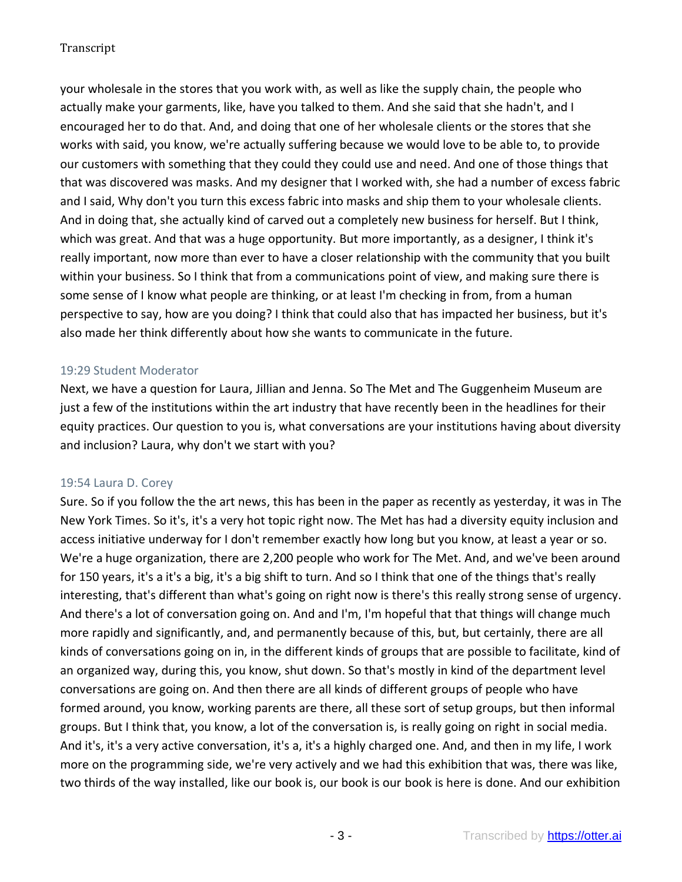your wholesale in the stores that you work with, as well as like the supply chain, the people who actually make your garments, like, have you talked to them. And she said that she hadn't, and I encouraged her to do that. And, and doing that one of her wholesale clients or the stores that she works with said, you know, we're actually suffering because we would love to be able to, to provide our customers with something that they could they could use and need. And one of those things that that was discovered was masks. And my designer that I worked with, she had a number of excess fabric and I said, Why don't you turn this excess fabric into masks and ship them to your wholesale clients. And in doing that, she actually kind of carved out a completely new business for herself. But I think, which was great. And that was a huge opportunity. But more importantly, as a designer, I think it's really important, now more than ever to have a closer relationship with the community that you built within your business. So I think that from a communications point of view, and making sure there is some sense of I know what people are thinking, or at least I'm checking in from, from a human perspective to say, how are you doing? I think that could also that has impacted her business, but it's also made her think differently about how she wants to communicate in the future.

## 19:29 Student Moderator

Next, we have a question for Laura, Jillian and Jenna. So The Met and The Guggenheim Museum are just a few of the institutions within the art industry that have recently been in the headlines for their equity practices. Our question to you is, what conversations are your institutions having about diversity and inclusion? Laura, why don't we start with you?

### 19:54 Laura D. Corey

Sure. So if you follow the the art news, this has been in the paper as recently as yesterday, it was in The New York Times. So it's, it's a very hot topic right now. The Met has had a diversity equity inclusion and access initiative underway for I don't remember exactly how long but you know, at least a year or so. We're a huge organization, there are 2,200 people who work for The Met. And, and we've been around for 150 years, it's a it's a big, it's a big shift to turn. And so I think that one of the things that's really interesting, that's different than what's going on right now is there's this really strong sense of urgency. And there's a lot of conversation going on. And and I'm, I'm hopeful that that things will change much more rapidly and significantly, and, and permanently because of this, but, but certainly, there are all kinds of conversations going on in, in the different kinds of groups that are possible to facilitate, kind of an organized way, during this, you know, shut down. So that's mostly in kind of the department level conversations are going on. And then there are all kinds of different groups of people who have formed around, you know, working parents are there, all these sort of setup groups, but then informal groups. But I think that, you know, a lot of the conversation is, is really going on right in social media. And it's, it's a very active conversation, it's a, it's a highly charged one. And, and then in my life, I work more on the programming side, we're very actively and we had this exhibition that was, there was like, two thirds of the way installed, like our book is, our book is our book is here is done. And our exhibition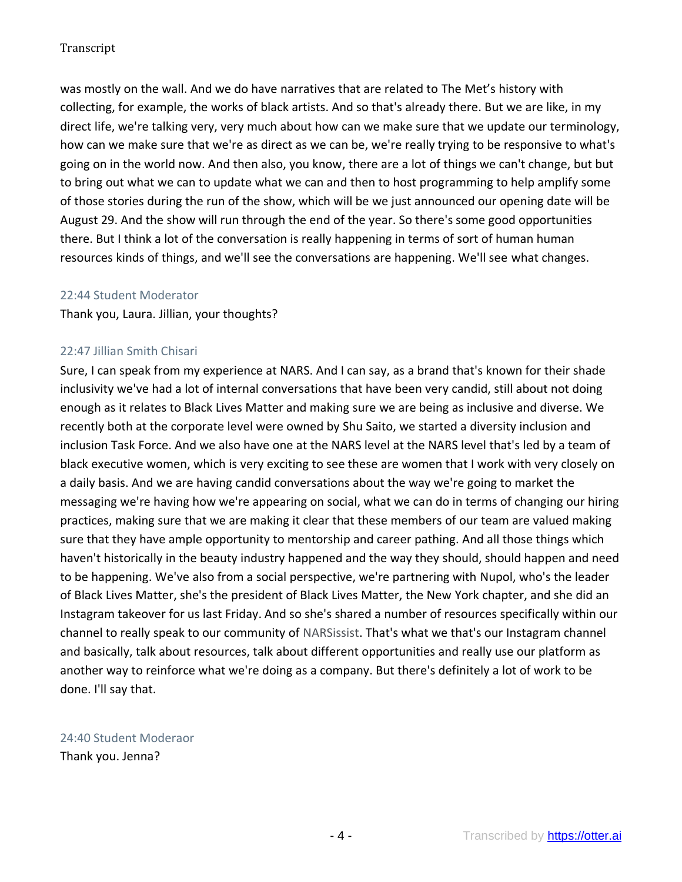was mostly on the wall. And we do have narratives that are related to The Met's history with collecting, for example, the works of black artists. And so that's already there. But we are like, in my direct life, we're talking very, very much about how can we make sure that we update our terminology, how can we make sure that we're as direct as we can be, we're really trying to be responsive to what's going on in the world now. And then also, you know, there are a lot of things we can't change, but but to bring out what we can to update what we can and then to host programming to help amplify some of those stories during the run of the show, which will be we just announced our opening date will be August 29. And the show will run through the end of the year. So there's some good opportunities there. But I think a lot of the conversation is really happening in terms of sort of human human resources kinds of things, and we'll see the conversations are happening. We'll see what changes.

### 22:44 Student Moderator

Thank you, Laura. Jillian, your thoughts?

### 22:47 Jillian Smith Chisari

Sure, I can speak from my experience at NARS. And I can say, as a brand that's known for their shade inclusivity we've had a lot of internal conversations that have been very candid, still about not doing enough as it relates to Black Lives Matter and making sure we are being as inclusive and diverse. We recently both at the corporate level were owned by Shu Saito, we started a diversity inclusion and inclusion Task Force. And we also have one at the NARS level at the NARS level that's led by a team of black executive women, which is very exciting to see these are women that I work with very closely on a daily basis. And we are having candid conversations about the way we're going to market the messaging we're having how we're appearing on social, what we can do in terms of changing our hiring practices, making sure that we are making it clear that these members of our team are valued making sure that they have ample opportunity to mentorship and career pathing. And all those things which haven't historically in the beauty industry happened and the way they should, should happen and need to be happening. We've also from a social perspective, we're partnering with Nupol, who's the leader of Black Lives Matter, she's the president of Black Lives Matter, the New York chapter, and she did an Instagram takeover for us last Friday. And so she's shared a number of resources specifically within our channel to really speak to our community of NARSissist. That's what we that's our Instagram channel and basically, talk about resources, talk about different opportunities and really use our platform as another way to reinforce what we're doing as a company. But there's definitely a lot of work to be done. I'll say that.

# 24:40 Student Moderaor

Thank you. Jenna?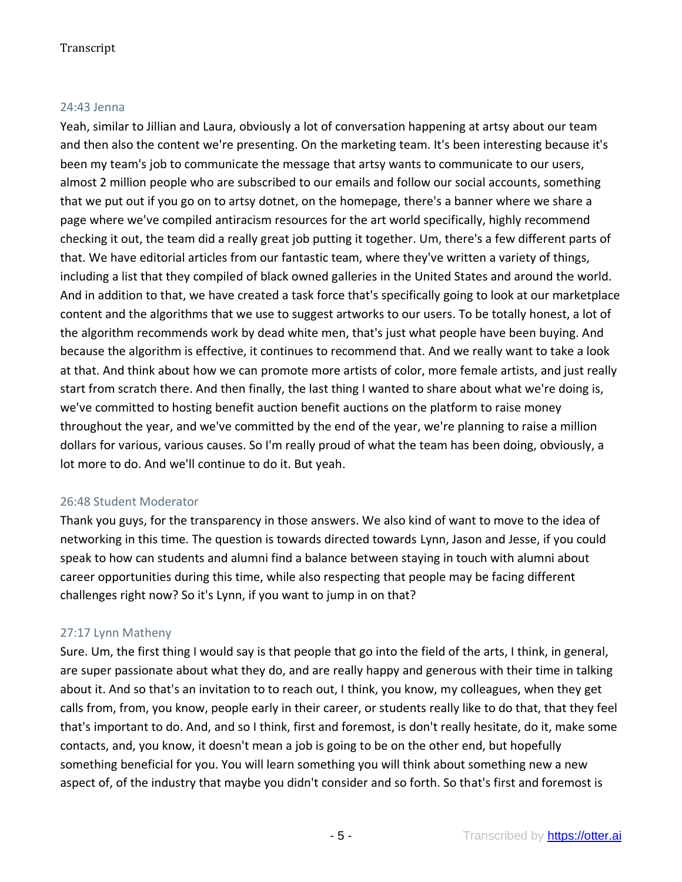### 24:43 Jenna

Yeah, similar to Jillian and Laura, obviously a lot of conversation happening at artsy about our team and then also the content we're presenting. On the marketing team. It's been interesting because it's been my team's job to communicate the message that artsy wants to communicate to our users, almost 2 million people who are subscribed to our emails and follow our social accounts, something that we put out if you go on to artsy dotnet, on the homepage, there's a banner where we share a page where we've compiled antiracism resources for the art world specifically, highly recommend checking it out, the team did a really great job putting it together. Um, there's a few different parts of that. We have editorial articles from our fantastic team, where they've written a variety of things, including a list that they compiled of black owned galleries in the United States and around the world. And in addition to that, we have created a task force that's specifically going to look at our marketplace content and the algorithms that we use to suggest artworks to our users. To be totally honest, a lot of the algorithm recommends work by dead white men, that's just what people have been buying. And because the algorithm is effective, it continues to recommend that. And we really want to take a look at that. And think about how we can promote more artists of color, more female artists, and just really start from scratch there. And then finally, the last thing I wanted to share about what we're doing is, we've committed to hosting benefit auction benefit auctions on the platform to raise money throughout the year, and we've committed by the end of the year, we're planning to raise a million dollars for various, various causes. So I'm really proud of what the team has been doing, obviously, a lot more to do. And we'll continue to do it. But yeah.

### 26:48 Student Moderator

Thank you guys, for the transparency in those answers. We also kind of want to move to the idea of networking in this time. The question is towards directed towards Lynn, Jason and Jesse, if you could speak to how can students and alumni find a balance between staying in touch with alumni about career opportunities during this time, while also respecting that people may be facing different challenges right now? So it's Lynn, if you want to jump in on that?

### 27:17 Lynn Matheny

Sure. Um, the first thing I would say is that people that go into the field of the arts, I think, in general, are super passionate about what they do, and are really happy and generous with their time in talking about it. And so that's an invitation to to reach out, I think, you know, my colleagues, when they get calls from, from, you know, people early in their career, or students really like to do that, that they feel that's important to do. And, and so I think, first and foremost, is don't really hesitate, do it, make some contacts, and, you know, it doesn't mean a job is going to be on the other end, but hopefully something beneficial for you. You will learn something you will think about something new a new aspect of, of the industry that maybe you didn't consider and so forth. So that's first and foremost is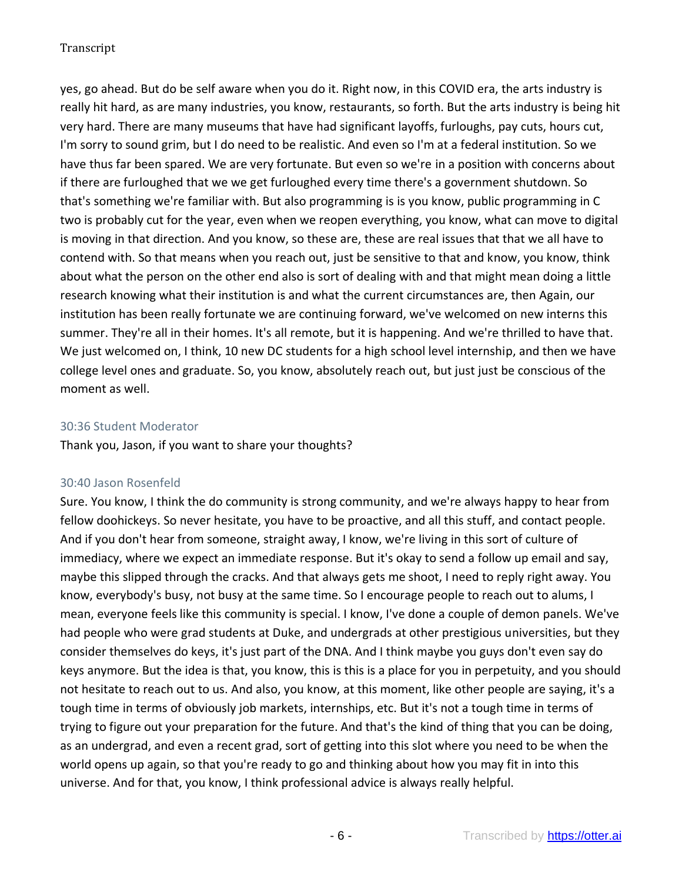yes, go ahead. But do be self aware when you do it. Right now, in this COVID era, the arts industry is really hit hard, as are many industries, you know, restaurants, so forth. But the arts industry is being hit very hard. There are many museums that have had significant layoffs, furloughs, pay cuts, hours cut, I'm sorry to sound grim, but I do need to be realistic. And even so I'm at a federal institution. So we have thus far been spared. We are very fortunate. But even so we're in a position with concerns about if there are furloughed that we we get furloughed every time there's a government shutdown. So that's something we're familiar with. But also programming is is you know, public programming in C two is probably cut for the year, even when we reopen everything, you know, what can move to digital is moving in that direction. And you know, so these are, these are real issues that that we all have to contend with. So that means when you reach out, just be sensitive to that and know, you know, think about what the person on the other end also is sort of dealing with and that might mean doing a little research knowing what their institution is and what the current circumstances are, then Again, our institution has been really fortunate we are continuing forward, we've welcomed on new interns this summer. They're all in their homes. It's all remote, but it is happening. And we're thrilled to have that. We just welcomed on, I think, 10 new DC students for a high school level internship, and then we have college level ones and graduate. So, you know, absolutely reach out, but just just be conscious of the moment as well.

### 30:36 Student Moderator

Thank you, Jason, if you want to share your thoughts?

### 30:40 Jason Rosenfeld

Sure. You know, I think the do community is strong community, and we're always happy to hear from fellow doohickeys. So never hesitate, you have to be proactive, and all this stuff, and contact people. And if you don't hear from someone, straight away, I know, we're living in this sort of culture of immediacy, where we expect an immediate response. But it's okay to send a follow up email and say, maybe this slipped through the cracks. And that always gets me shoot, I need to reply right away. You know, everybody's busy, not busy at the same time. So I encourage people to reach out to alums, I mean, everyone feels like this community is special. I know, I've done a couple of demon panels. We've had people who were grad students at Duke, and undergrads at other prestigious universities, but they consider themselves do keys, it's just part of the DNA. And I think maybe you guys don't even say do keys anymore. But the idea is that, you know, this is this is a place for you in perpetuity, and you should not hesitate to reach out to us. And also, you know, at this moment, like other people are saying, it's a tough time in terms of obviously job markets, internships, etc. But it's not a tough time in terms of trying to figure out your preparation for the future. And that's the kind of thing that you can be doing, as an undergrad, and even a recent grad, sort of getting into this slot where you need to be when the world opens up again, so that you're ready to go and thinking about how you may fit in into this universe. And for that, you know, I think professional advice is always really helpful.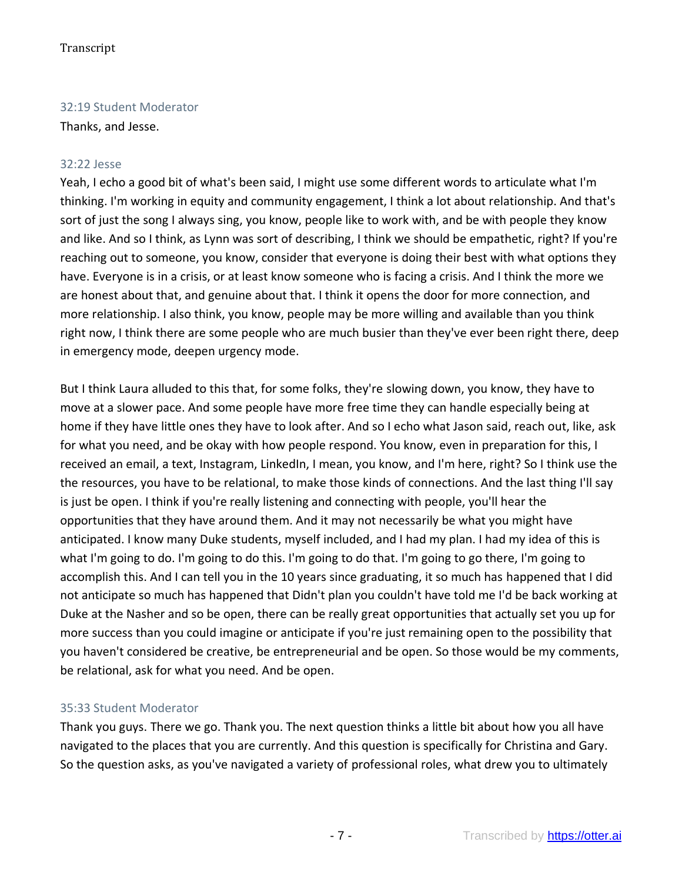## 32:19 Student Moderator

Thanks, and Jesse.

### 32:22 Jesse

Yeah, I echo a good bit of what's been said, I might use some different words to articulate what I'm thinking. I'm working in equity and community engagement, I think a lot about relationship. And that's sort of just the song I always sing, you know, people like to work with, and be with people they know and like. And so I think, as Lynn was sort of describing, I think we should be empathetic, right? If you're reaching out to someone, you know, consider that everyone is doing their best with what options they have. Everyone is in a crisis, or at least know someone who is facing a crisis. And I think the more we are honest about that, and genuine about that. I think it opens the door for more connection, and more relationship. I also think, you know, people may be more willing and available than you think right now, I think there are some people who are much busier than they've ever been right there, deep in emergency mode, deepen urgency mode.

But I think Laura alluded to this that, for some folks, they're slowing down, you know, they have to move at a slower pace. And some people have more free time they can handle especially being at home if they have little ones they have to look after. And so I echo what Jason said, reach out, like, ask for what you need, and be okay with how people respond. You know, even in preparation for this, I received an email, a text, Instagram, LinkedIn, I mean, you know, and I'm here, right? So I think use the the resources, you have to be relational, to make those kinds of connections. And the last thing I'll say is just be open. I think if you're really listening and connecting with people, you'll hear the opportunities that they have around them. And it may not necessarily be what you might have anticipated. I know many Duke students, myself included, and I had my plan. I had my idea of this is what I'm going to do. I'm going to do this. I'm going to do that. I'm going to go there, I'm going to accomplish this. And I can tell you in the 10 years since graduating, it so much has happened that I did not anticipate so much has happened that Didn't plan you couldn't have told me I'd be back working at Duke at the Nasher and so be open, there can be really great opportunities that actually set you up for more success than you could imagine or anticipate if you're just remaining open to the possibility that you haven't considered be creative, be entrepreneurial and be open. So those would be my comments, be relational, ask for what you need. And be open.

## 35:33 Student Moderator

Thank you guys. There we go. Thank you. The next question thinks a little bit about how you all have navigated to the places that you are currently. And this question is specifically for Christina and Gary. So the question asks, as you've navigated a variety of professional roles, what drew you to ultimately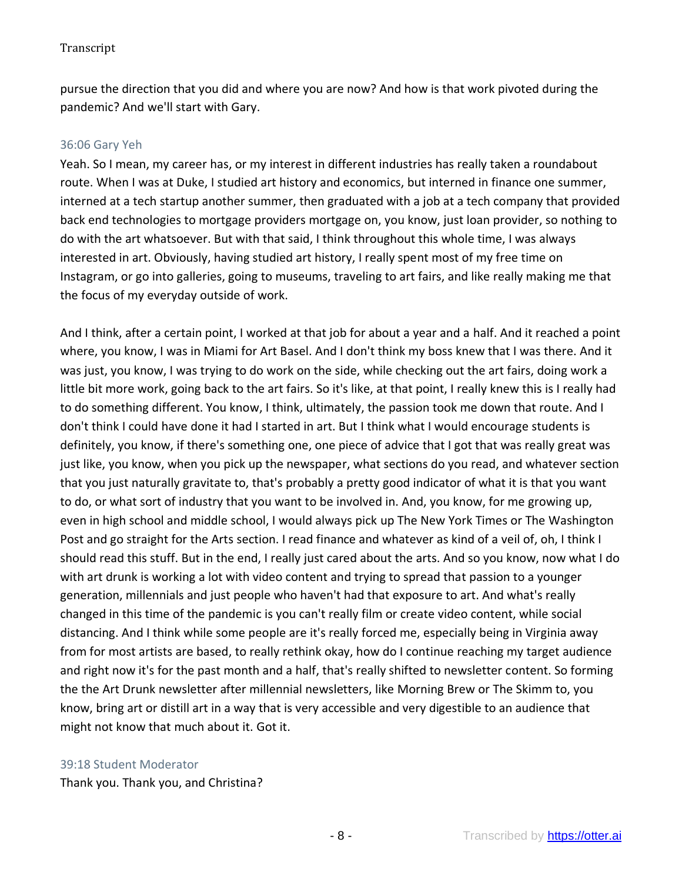pursue the direction that you did and where you are now? And how is that work pivoted during the pandemic? And we'll start with Gary.

### 36:06 Gary Yeh

Yeah. So I mean, my career has, or my interest in different industries has really taken a roundabout route. When I was at Duke, I studied art history and economics, but interned in finance one summer, interned at a tech startup another summer, then graduated with a job at a tech company that provided back end technologies to mortgage providers mortgage on, you know, just loan provider, so nothing to do with the art whatsoever. But with that said, I think throughout this whole time, I was always interested in art. Obviously, having studied art history, I really spent most of my free time on Instagram, or go into galleries, going to museums, traveling to art fairs, and like really making me that the focus of my everyday outside of work.

And I think, after a certain point, I worked at that job for about a year and a half. And it reached a point where, you know, I was in Miami for Art Basel. And I don't think my boss knew that I was there. And it was just, you know, I was trying to do work on the side, while checking out the art fairs, doing work a little bit more work, going back to the art fairs. So it's like, at that point, I really knew this is I really had to do something different. You know, I think, ultimately, the passion took me down that route. And I don't think I could have done it had I started in art. But I think what I would encourage students is definitely, you know, if there's something one, one piece of advice that I got that was really great was just like, you know, when you pick up the newspaper, what sections do you read, and whatever section that you just naturally gravitate to, that's probably a pretty good indicator of what it is that you want to do, or what sort of industry that you want to be involved in. And, you know, for me growing up, even in high school and middle school, I would always pick up The New York Times or The Washington Post and go straight for the Arts section. I read finance and whatever as kind of a veil of, oh, I think I should read this stuff. But in the end, I really just cared about the arts. And so you know, now what I do with art drunk is working a lot with video content and trying to spread that passion to a younger generation, millennials and just people who haven't had that exposure to art. And what's really changed in this time of the pandemic is you can't really film or create video content, while social distancing. And I think while some people are it's really forced me, especially being in Virginia away from for most artists are based, to really rethink okay, how do I continue reaching my target audience and right now it's for the past month and a half, that's really shifted to newsletter content. So forming the the Art Drunk newsletter after millennial newsletters, like Morning Brew or The Skimm to, you know, bring art or distill art in a way that is very accessible and very digestible to an audience that might not know that much about it. Got it.

#### 39:18 Student Moderator

Thank you. Thank you, and Christina?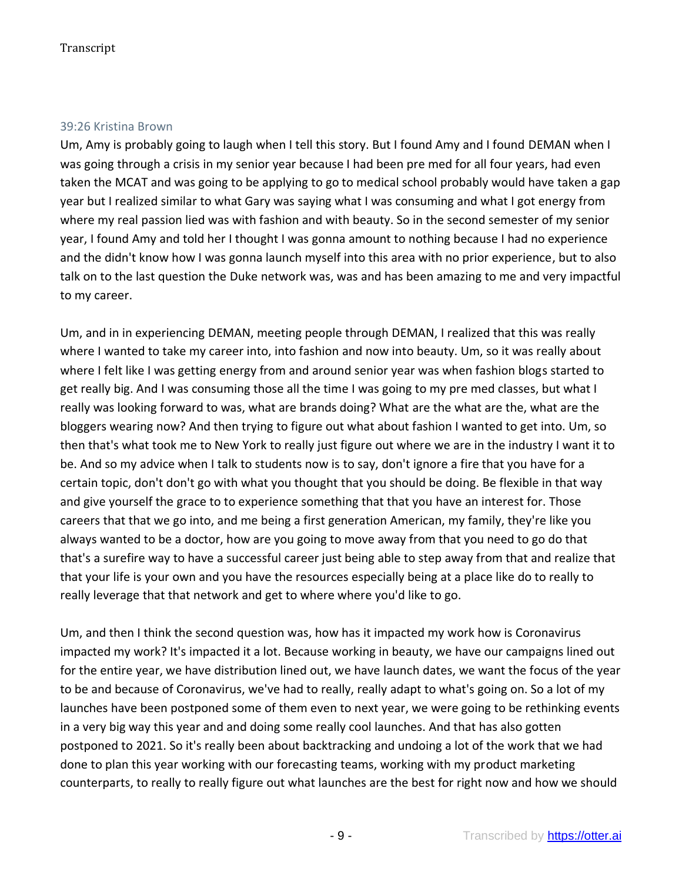#### 39:26 Kristina Brown

Um, Amy is probably going to laugh when I tell this story. But I found Amy and I found DEMAN when I was going through a crisis in my senior year because I had been pre med for all four years, had even taken the MCAT and was going to be applying to go to medical school probably would have taken a gap year but I realized similar to what Gary was saying what I was consuming and what I got energy from where my real passion lied was with fashion and with beauty. So in the second semester of my senior year, I found Amy and told her I thought I was gonna amount to nothing because I had no experience and the didn't know how I was gonna launch myself into this area with no prior experience, but to also talk on to the last question the Duke network was, was and has been amazing to me and very impactful to my career.

Um, and in in experiencing DEMAN, meeting people through DEMAN, I realized that this was really where I wanted to take my career into, into fashion and now into beauty. Um, so it was really about where I felt like I was getting energy from and around senior year was when fashion blogs started to get really big. And I was consuming those all the time I was going to my pre med classes, but what I really was looking forward to was, what are brands doing? What are the what are the, what are the bloggers wearing now? And then trying to figure out what about fashion I wanted to get into. Um, so then that's what took me to New York to really just figure out where we are in the industry I want it to be. And so my advice when I talk to students now is to say, don't ignore a fire that you have for a certain topic, don't don't go with what you thought that you should be doing. Be flexible in that way and give yourself the grace to to experience something that that you have an interest for. Those careers that that we go into, and me being a first generation American, my family, they're like you always wanted to be a doctor, how are you going to move away from that you need to go do that that's a surefire way to have a successful career just being able to step away from that and realize that that your life is your own and you have the resources especially being at a place like do to really to really leverage that that network and get to where where you'd like to go.

Um, and then I think the second question was, how has it impacted my work how is Coronavirus impacted my work? It's impacted it a lot. Because working in beauty, we have our campaigns lined out for the entire year, we have distribution lined out, we have launch dates, we want the focus of the year to be and because of Coronavirus, we've had to really, really adapt to what's going on. So a lot of my launches have been postponed some of them even to next year, we were going to be rethinking events in a very big way this year and and doing some really cool launches. And that has also gotten postponed to 2021. So it's really been about backtracking and undoing a lot of the work that we had done to plan this year working with our forecasting teams, working with my product marketing counterparts, to really to really figure out what launches are the best for right now and how we should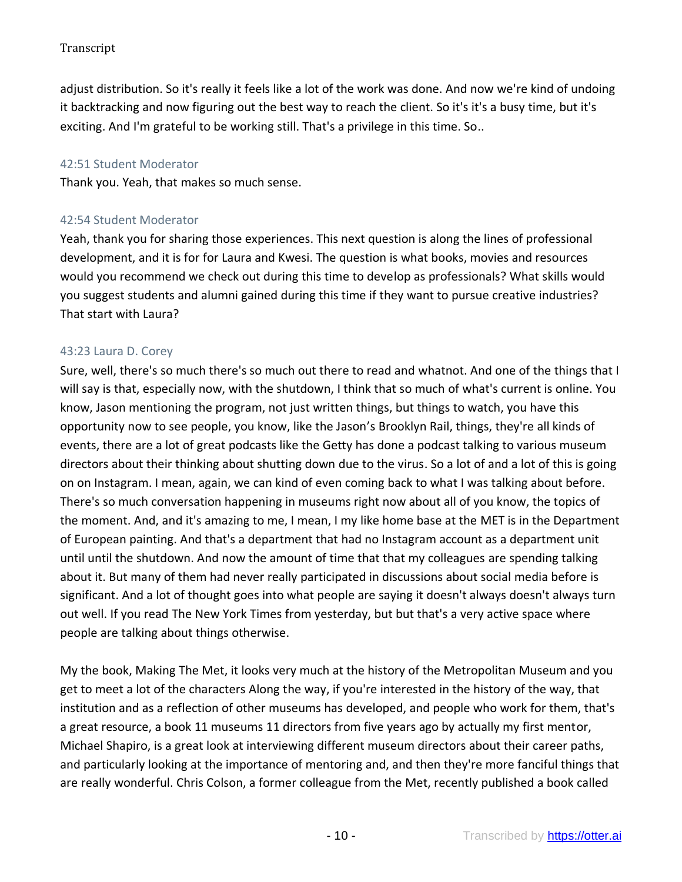adjust distribution. So it's really it feels like a lot of the work was done. And now we're kind of undoing it backtracking and now figuring out the best way to reach the client. So it's it's a busy time, but it's exciting. And I'm grateful to be working still. That's a privilege in this time. So..

### 42:51 Student Moderator

Thank you. Yeah, that makes so much sense.

## 42:54 Student Moderator

Yeah, thank you for sharing those experiences. This next question is along the lines of professional development, and it is for for Laura and Kwesi. The question is what books, movies and resources would you recommend we check out during this time to develop as professionals? What skills would you suggest students and alumni gained during this time if they want to pursue creative industries? That start with Laura?

### 43:23 Laura D. Corey

Sure, well, there's so much there's so much out there to read and whatnot. And one of the things that I will say is that, especially now, with the shutdown, I think that so much of what's current is online. You know, Jason mentioning the program, not just written things, but things to watch, you have this opportunity now to see people, you know, like the Jason's Brooklyn Rail, things, they're all kinds of events, there are a lot of great podcasts like the Getty has done a podcast talking to various museum directors about their thinking about shutting down due to the virus. So a lot of and a lot of this is going on on Instagram. I mean, again, we can kind of even coming back to what I was talking about before. There's so much conversation happening in museums right now about all of you know, the topics of the moment. And, and it's amazing to me, I mean, I my like home base at the MET is in the Department of European painting. And that's a department that had no Instagram account as a department unit until until the shutdown. And now the amount of time that that my colleagues are spending talking about it. But many of them had never really participated in discussions about social media before is significant. And a lot of thought goes into what people are saying it doesn't always doesn't always turn out well. If you read The New York Times from yesterday, but but that's a very active space where people are talking about things otherwise.

My the book, Making The Met, it looks very much at the history of the Metropolitan Museum and you get to meet a lot of the characters Along the way, if you're interested in the history of the way, that institution and as a reflection of other museums has developed, and people who work for them, that's a great resource, a book 11 museums 11 directors from five years ago by actually my first mentor, Michael Shapiro, is a great look at interviewing different museum directors about their career paths, and particularly looking at the importance of mentoring and, and then they're more fanciful things that are really wonderful. Chris Colson, a former colleague from the Met, recently published a book called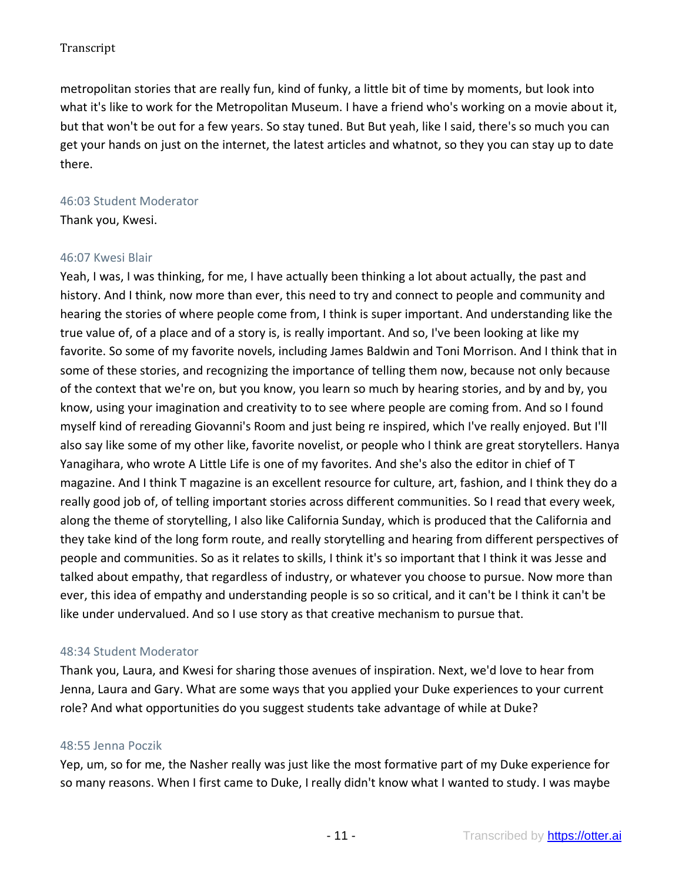metropolitan stories that are really fun, kind of funky, a little bit of time by moments, but look into what it's like to work for the Metropolitan Museum. I have a friend who's working on a movie about it, but that won't be out for a few years. So stay tuned. But But yeah, like I said, there's so much you can get your hands on just on the internet, the latest articles and whatnot, so they you can stay up to date there.

### 46:03 Student Moderator

Thank you, Kwesi.

### 46:07 Kwesi Blair

Yeah, I was, I was thinking, for me, I have actually been thinking a lot about actually, the past and history. And I think, now more than ever, this need to try and connect to people and community and hearing the stories of where people come from, I think is super important. And understanding like the true value of, of a place and of a story is, is really important. And so, I've been looking at like my favorite. So some of my favorite novels, including James Baldwin and Toni Morrison. And I think that in some of these stories, and recognizing the importance of telling them now, because not only because of the context that we're on, but you know, you learn so much by hearing stories, and by and by, you know, using your imagination and creativity to to see where people are coming from. And so I found myself kind of rereading Giovanni's Room and just being re inspired, which I've really enjoyed. But I'll also say like some of my other like, favorite novelist, or people who I think are great storytellers. Hanya Yanagihara, who wrote A Little Life is one of my favorites. And she's also the editor in chief of T magazine. And I think T magazine is an excellent resource for culture, art, fashion, and I think they do a really good job of, of telling important stories across different communities. So I read that every week, along the theme of storytelling, I also like California Sunday, which is produced that the California and they take kind of the long form route, and really storytelling and hearing from different perspectives of people and communities. So as it relates to skills, I think it's so important that I think it was Jesse and talked about empathy, that regardless of industry, or whatever you choose to pursue. Now more than ever, this idea of empathy and understanding people is so so critical, and it can't be I think it can't be like under undervalued. And so I use story as that creative mechanism to pursue that.

### 48:34 Student Moderator

Thank you, Laura, and Kwesi for sharing those avenues of inspiration. Next, we'd love to hear from Jenna, Laura and Gary. What are some ways that you applied your Duke experiences to your current role? And what opportunities do you suggest students take advantage of while at Duke?

### 48:55 Jenna Poczik

Yep, um, so for me, the Nasher really was just like the most formative part of my Duke experience for so many reasons. When I first came to Duke, I really didn't know what I wanted to study. I was maybe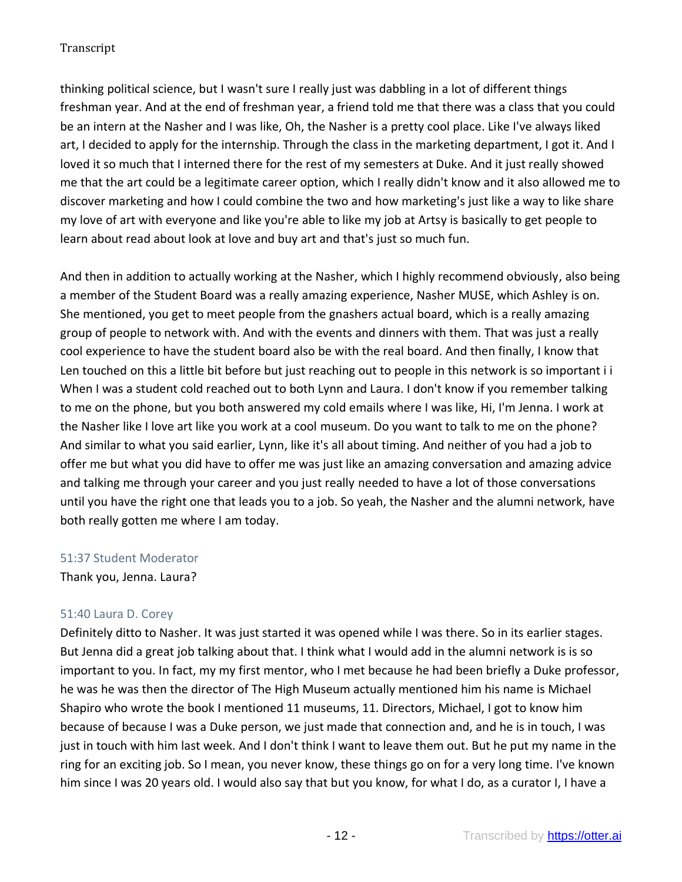thinking political science, but I wasn't sure I really just was dabbling in a lot of different things freshman year. And at the end of freshman year, a friend told me that there was a class that you could be an intern at the Nasher and I was like, Oh, the Nasher is a pretty cool place. Like I've always liked art, I decided to apply for the internship. Through the class in the marketing department, I got it. And I loved it so much that I interned there for the rest of my semesters at Duke. And it just really showed me that the art could be a legitimate career option, which I really didn't know and it also allowed me to discover marketing and how I could combine the two and how marketing's just like a way to like share my love of art with everyone and like you're able to like my job at Artsy is basically to get people to learn about read about look at love and buy art and that's just so much fun.

And then in addition to actually working at the Nasher, which I highly recommend obviously, also being a member of the Student Board was a really amazing experience, Nasher MUSE, which Ashley is on. She mentioned, you get to meet people from the gnashers actual board, which is a really amazing group of people to network with. And with the events and dinners with them. That was just a really cool experience to have the student board also be with the real board. And then finally, I know that Len touched on this a little bit before but just reaching out to people in this network is so important i i When I was a student cold reached out to both Lynn and Laura. I don't know if you remember talking to me on the phone, but you both answered my cold emails where I was like, Hi, I'm Jenna. I work at the Nasher like I love art like you work at a cool museum. Do you want to talk to me on the phone? And similar to what you said earlier, Lynn, like it's all about timing. And neither of you had a job to offer me but what you did have to offer me was just like an amazing conversation and amazing advice and talking me through your career and you just really needed to have a lot of those conversations until you have the right one that leads you to a job. So yeah, the Nasher and the alumni network, have both really gotten me where I am today.

### 51:37 Student Moderator

Thank you, Jenna. Laura?

## 51:40 Laura D. Corey

Definitely ditto to Nasher. It was just started it was opened while I was there. So in its earlier stages. But Jenna did a great job talking about that. I think what I would add in the alumni network is is so important to you. In fact, my my first mentor, who I met because he had been briefly a Duke professor, he was he was then the director of The High Museum actually mentioned him his name is Michael Shapiro who wrote the book I mentioned 11 museums, 11. Directors, Michael, I got to know him because of because I was a Duke person, we just made that connection and, and he is in touch, I was just in touch with him last week. And I don't think I want to leave them out. But he put my name in the ring for an exciting job. So I mean, you never know, these things go on for a very long time. I've known him since I was 20 years old. I would also say that but you know, for what I do, as a curator I, I have a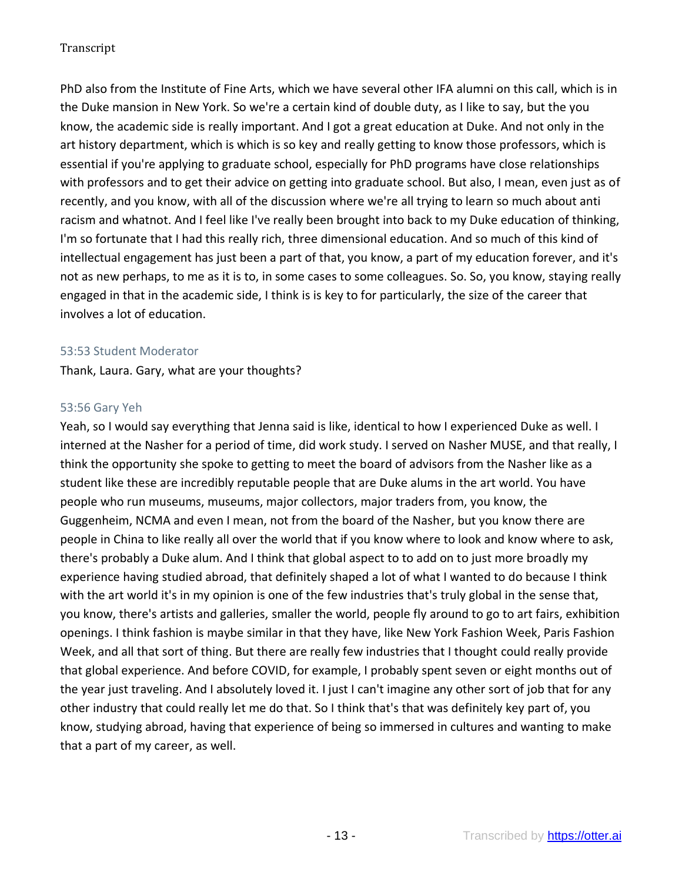PhD also from the Institute of Fine Arts, which we have several other IFA alumni on this call, which is in the Duke mansion in New York. So we're a certain kind of double duty, as I like to say, but the you know, the academic side is really important. And I got a great education at Duke. And not only in the art history department, which is which is so key and really getting to know those professors, which is essential if you're applying to graduate school, especially for PhD programs have close relationships with professors and to get their advice on getting into graduate school. But also, I mean, even just as of recently, and you know, with all of the discussion where we're all trying to learn so much about anti racism and whatnot. And I feel like I've really been brought into back to my Duke education of thinking, I'm so fortunate that I had this really rich, three dimensional education. And so much of this kind of intellectual engagement has just been a part of that, you know, a part of my education forever, and it's not as new perhaps, to me as it is to, in some cases to some colleagues. So. So, you know, staying really engaged in that in the academic side, I think is is key to for particularly, the size of the career that involves a lot of education.

### 53:53 Student Moderator

Thank, Laura. Gary, what are your thoughts?

### 53:56 Gary Yeh

Yeah, so I would say everything that Jenna said is like, identical to how I experienced Duke as well. I interned at the Nasher for a period of time, did work study. I served on Nasher MUSE, and that really, I think the opportunity she spoke to getting to meet the board of advisors from the Nasher like as a student like these are incredibly reputable people that are Duke alums in the art world. You have people who run museums, museums, major collectors, major traders from, you know, the Guggenheim, NCMA and even I mean, not from the board of the Nasher, but you know there are people in China to like really all over the world that if you know where to look and know where to ask, there's probably a Duke alum. And I think that global aspect to to add on to just more broadly my experience having studied abroad, that definitely shaped a lot of what I wanted to do because I think with the art world it's in my opinion is one of the few industries that's truly global in the sense that, you know, there's artists and galleries, smaller the world, people fly around to go to art fairs, exhibition openings. I think fashion is maybe similar in that they have, like New York Fashion Week, Paris Fashion Week, and all that sort of thing. But there are really few industries that I thought could really provide that global experience. And before COVID, for example, I probably spent seven or eight months out of the year just traveling. And I absolutely loved it. I just I can't imagine any other sort of job that for any other industry that could really let me do that. So I think that's that was definitely key part of, you know, studying abroad, having that experience of being so immersed in cultures and wanting to make that a part of my career, as well.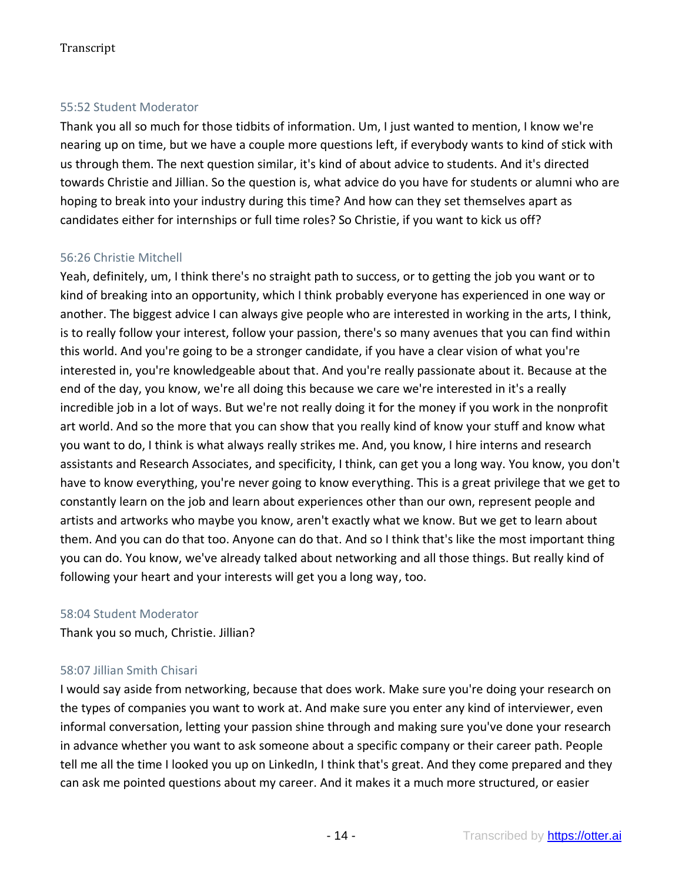## 55:52 Student Moderator

Thank you all so much for those tidbits of information. Um, I just wanted to mention, I know we're nearing up on time, but we have a couple more questions left, if everybody wants to kind of stick with us through them. The next question similar, it's kind of about advice to students. And it's directed towards Christie and Jillian. So the question is, what advice do you have for students or alumni who are hoping to break into your industry during this time? And how can they set themselves apart as candidates either for internships or full time roles? So Christie, if you want to kick us off?

### 56:26 Christie Mitchell

Yeah, definitely, um, I think there's no straight path to success, or to getting the job you want or to kind of breaking into an opportunity, which I think probably everyone has experienced in one way or another. The biggest advice I can always give people who are interested in working in the arts, I think, is to really follow your interest, follow your passion, there's so many avenues that you can find within this world. And you're going to be a stronger candidate, if you have a clear vision of what you're interested in, you're knowledgeable about that. And you're really passionate about it. Because at the end of the day, you know, we're all doing this because we care we're interested in it's a really incredible job in a lot of ways. But we're not really doing it for the money if you work in the nonprofit art world. And so the more that you can show that you really kind of know your stuff and know what you want to do, I think is what always really strikes me. And, you know, I hire interns and research assistants and Research Associates, and specificity, I think, can get you a long way. You know, you don't have to know everything, you're never going to know everything. This is a great privilege that we get to constantly learn on the job and learn about experiences other than our own, represent people and artists and artworks who maybe you know, aren't exactly what we know. But we get to learn about them. And you can do that too. Anyone can do that. And so I think that's like the most important thing you can do. You know, we've already talked about networking and all those things. But really kind of following your heart and your interests will get you a long way, too.

### 58:04 Student Moderator

Thank you so much, Christie. Jillian?

### 58:07 Jillian Smith Chisari

I would say aside from networking, because that does work. Make sure you're doing your research on the types of companies you want to work at. And make sure you enter any kind of interviewer, even informal conversation, letting your passion shine through and making sure you've done your research in advance whether you want to ask someone about a specific company or their career path. People tell me all the time I looked you up on LinkedIn, I think that's great. And they come prepared and they can ask me pointed questions about my career. And it makes it a much more structured, or easier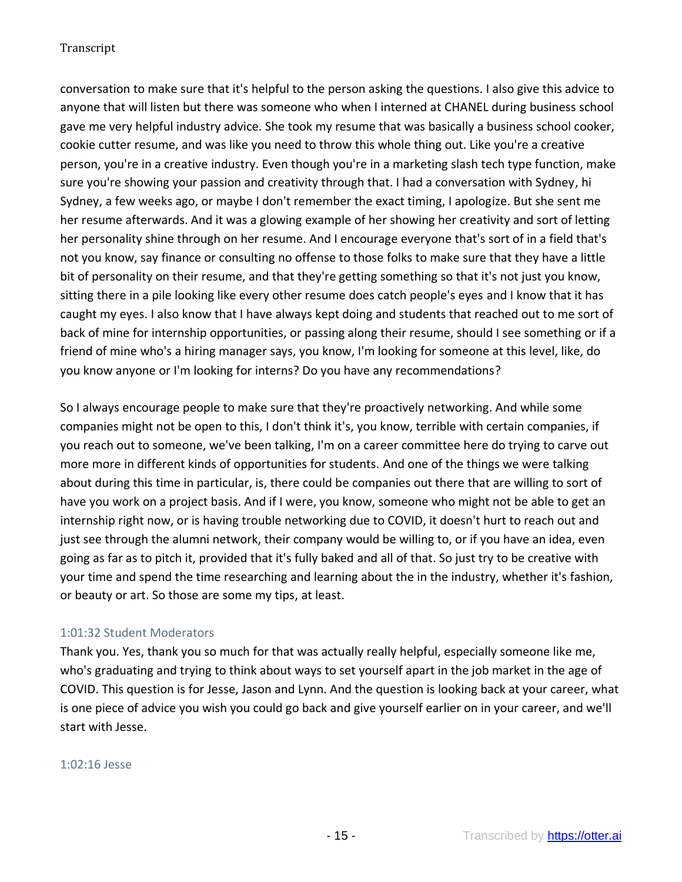conversation to make sure that it's helpful to the person asking the questions. I also give this advice to anyone that will listen but there was someone who when I interned at CHANEL during business school gave me very helpful industry advice. She took my resume that was basically a business school cooker, cookie cutter resume, and was like you need to throw this whole thing out. Like you're a creative person, you're in a creative industry. Even though you're in a marketing slash tech type function, make sure you're showing your passion and creativity through that. I had a conversation with Sydney, hi Sydney, a few weeks ago, or maybe I don't remember the exact timing, I apologize. But she sent me her resume afterwards. And it was a glowing example of her showing her creativity and sort of letting her personality shine through on her resume. And I encourage everyone that's sort of in a field that's not you know, say finance or consulting no offense to those folks to make sure that they have a little bit of personality on their resume, and that they're getting something so that it's not just you know, sitting there in a pile looking like every other resume does catch people's eyes and I know that it has caught my eyes. I also know that I have always kept doing and students that reached out to me sort of back of mine for internship opportunities, or passing along their resume, should I see something or if a friend of mine who's a hiring manager says, you know, I'm looking for someone at this level, like, do you know anyone or I'm looking for interns? Do you have any recommendations?

So I always encourage people to make sure that they're proactively networking. And while some companies might not be open to this, I don't think it's, you know, terrible with certain companies, if you reach out to someone, we've been talking, I'm on a career committee here do trying to carve out more more in different kinds of opportunities for students. And one of the things we were talking about during this time in particular, is, there could be companies out there that are willing to sort of have you work on a project basis. And if I were, you know, someone who might not be able to get an internship right now, or is having trouble networking due to COVID, it doesn't hurt to reach out and just see through the alumni network, their company would be willing to, or if you have an idea, even going as far as to pitch it, provided that it's fully baked and all of that. So just try to be creative with your time and spend the time researching and learning about the in the industry, whether it's fashion, or beauty or art. So those are some my tips, at least.

## 1:01:32 Student Moderators

Thank you. Yes, thank you so much for that was actually really helpful, especially someone like me, who's graduating and trying to think about ways to set yourself apart in the job market in the age of COVID. This question is for Jesse, Jason and Lynn. And the question is looking back at your career, what is one piece of advice you wish you could go back and give yourself earlier on in your career, and we'll start with Jesse.

#### 1:02:16 Jesse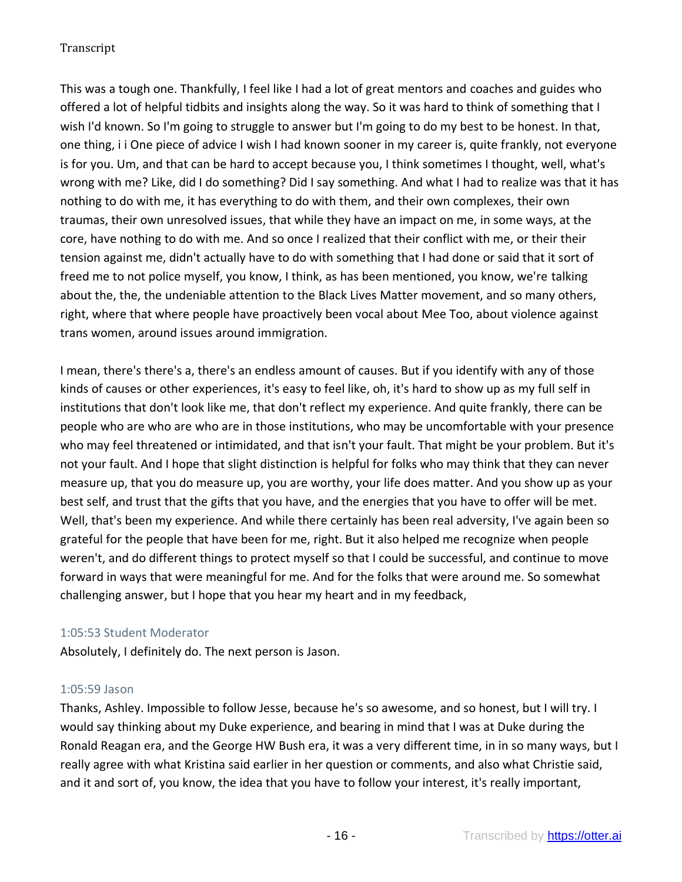This was a tough one. Thankfully, I feel like I had a lot of great mentors and coaches and guides who offered a lot of helpful tidbits and insights along the way. So it was hard to think of something that I wish I'd known. So I'm going to struggle to answer but I'm going to do my best to be honest. In that, one thing, i i One piece of advice I wish I had known sooner in my career is, quite frankly, not everyone is for you. Um, and that can be hard to accept because you, I think sometimes I thought, well, what's wrong with me? Like, did I do something? Did I say something. And what I had to realize was that it has nothing to do with me, it has everything to do with them, and their own complexes, their own traumas, their own unresolved issues, that while they have an impact on me, in some ways, at the core, have nothing to do with me. And so once I realized that their conflict with me, or their their tension against me, didn't actually have to do with something that I had done or said that it sort of freed me to not police myself, you know, I think, as has been mentioned, you know, we're talking about the, the, the undeniable attention to the Black Lives Matter movement, and so many others, right, where that where people have proactively been vocal about Mee Too, about violence against trans women, around issues around immigration.

I mean, there's there's a, there's an endless amount of causes. But if you identify with any of those kinds of causes or other experiences, it's easy to feel like, oh, it's hard to show up as my full self in institutions that don't look like me, that don't reflect my experience. And quite frankly, there can be people who are who are who are in those institutions, who may be uncomfortable with your presence who may feel threatened or intimidated, and that isn't your fault. That might be your problem. But it's not your fault. And I hope that slight distinction is helpful for folks who may think that they can never measure up, that you do measure up, you are worthy, your life does matter. And you show up as your best self, and trust that the gifts that you have, and the energies that you have to offer will be met. Well, that's been my experience. And while there certainly has been real adversity, I've again been so grateful for the people that have been for me, right. But it also helped me recognize when people weren't, and do different things to protect myself so that I could be successful, and continue to move forward in ways that were meaningful for me. And for the folks that were around me. So somewhat challenging answer, but I hope that you hear my heart and in my feedback,

### 1:05:53 Student Moderator

Absolutely, I definitely do. The next person is Jason.

### 1:05:59 Jason

Thanks, Ashley. Impossible to follow Jesse, because he's so awesome, and so honest, but I will try. I would say thinking about my Duke experience, and bearing in mind that I was at Duke during the Ronald Reagan era, and the George HW Bush era, it was a very different time, in in so many ways, but I really agree with what Kristina said earlier in her question or comments, and also what Christie said, and it and sort of, you know, the idea that you have to follow your interest, it's really important,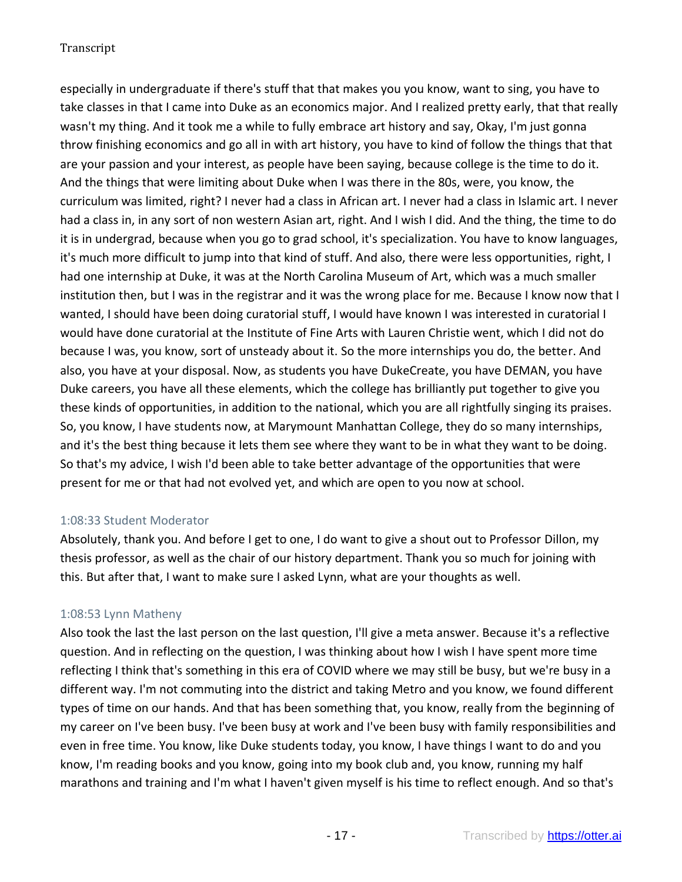especially in undergraduate if there's stuff that that makes you you know, want to sing, you have to take classes in that I came into Duke as an economics major. And I realized pretty early, that that really wasn't my thing. And it took me a while to fully embrace art history and say, Okay, I'm just gonna throw finishing economics and go all in with art history, you have to kind of follow the things that that are your passion and your interest, as people have been saying, because college is the time to do it. And the things that were limiting about Duke when I was there in the 80s, were, you know, the curriculum was limited, right? I never had a class in African art. I never had a class in Islamic art. I never had a class in, in any sort of non western Asian art, right. And I wish I did. And the thing, the time to do it is in undergrad, because when you go to grad school, it's specialization. You have to know languages, it's much more difficult to jump into that kind of stuff. And also, there were less opportunities, right, I had one internship at Duke, it was at the North Carolina Museum of Art, which was a much smaller institution then, but I was in the registrar and it was the wrong place for me. Because I know now that I wanted, I should have been doing curatorial stuff, I would have known I was interested in curatorial I would have done curatorial at the Institute of Fine Arts with Lauren Christie went, which I did not do because I was, you know, sort of unsteady about it. So the more internships you do, the better. And also, you have at your disposal. Now, as students you have DukeCreate, you have DEMAN, you have Duke careers, you have all these elements, which the college has brilliantly put together to give you these kinds of opportunities, in addition to the national, which you are all rightfully singing its praises. So, you know, I have students now, at Marymount Manhattan College, they do so many internships, and it's the best thing because it lets them see where they want to be in what they want to be doing. So that's my advice, I wish I'd been able to take better advantage of the opportunities that were present for me or that had not evolved yet, and which are open to you now at school.

## 1:08:33 Student Moderator

Absolutely, thank you. And before I get to one, I do want to give a shout out to Professor Dillon, my thesis professor, as well as the chair of our history department. Thank you so much for joining with this. But after that, I want to make sure I asked Lynn, what are your thoughts as well.

## 1:08:53 Lynn Matheny

Also took the last the last person on the last question, I'll give a meta answer. Because it's a reflective question. And in reflecting on the question, I was thinking about how I wish I have spent more time reflecting I think that's something in this era of COVID where we may still be busy, but we're busy in a different way. I'm not commuting into the district and taking Metro and you know, we found different types of time on our hands. And that has been something that, you know, really from the beginning of my career on I've been busy. I've been busy at work and I've been busy with family responsibilities and even in free time. You know, like Duke students today, you know, I have things I want to do and you know, I'm reading books and you know, going into my book club and, you know, running my half marathons and training and I'm what I haven't given myself is his time to reflect enough. And so that's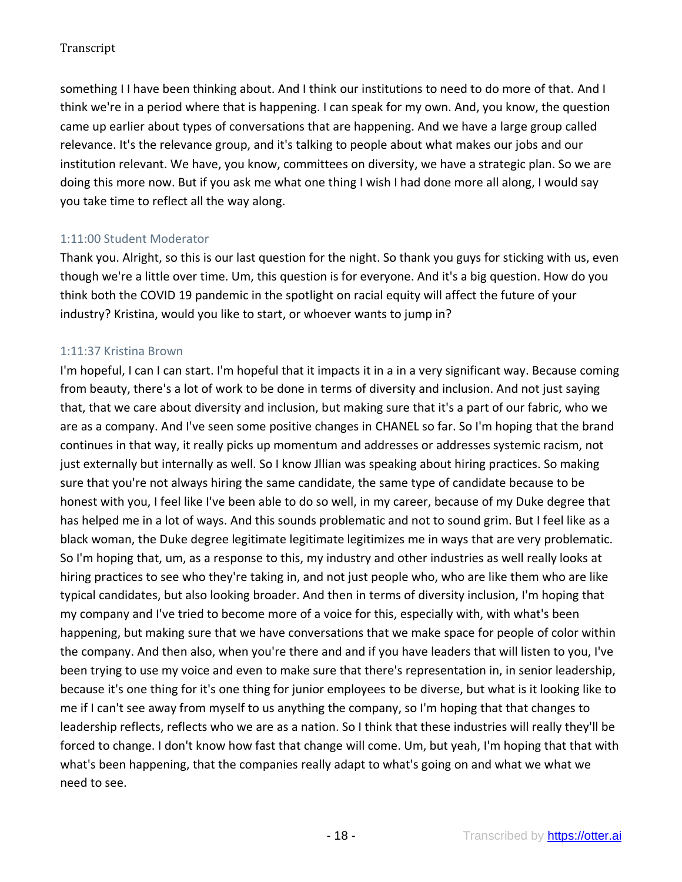something I I have been thinking about. And I think our institutions to need to do more of that. And I think we're in a period where that is happening. I can speak for my own. And, you know, the question came up earlier about types of conversations that are happening. And we have a large group called relevance. It's the relevance group, and it's talking to people about what makes our jobs and our institution relevant. We have, you know, committees on diversity, we have a strategic plan. So we are doing this more now. But if you ask me what one thing I wish I had done more all along, I would say you take time to reflect all the way along.

## 1:11:00 Student Moderator

Thank you. Alright, so this is our last question for the night. So thank you guys for sticking with us, even though we're a little over time. Um, this question is for everyone. And it's a big question. How do you think both the COVID 19 pandemic in the spotlight on racial equity will affect the future of your industry? Kristina, would you like to start, or whoever wants to jump in?

## 1:11:37 Kristina Brown

I'm hopeful, I can I can start. I'm hopeful that it impacts it in a in a very significant way. Because coming from beauty, there's a lot of work to be done in terms of diversity and inclusion. And not just saying that, that we care about diversity and inclusion, but making sure that it's a part of our fabric, who we are as a company. And I've seen some positive changes in CHANEL so far. So I'm hoping that the brand continues in that way, it really picks up momentum and addresses or addresses systemic racism, not just externally but internally as well. So I know Jllian was speaking about hiring practices. So making sure that you're not always hiring the same candidate, the same type of candidate because to be honest with you, I feel like I've been able to do so well, in my career, because of my Duke degree that has helped me in a lot of ways. And this sounds problematic and not to sound grim. But I feel like as a black woman, the Duke degree legitimate legitimate legitimizes me in ways that are very problematic. So I'm hoping that, um, as a response to this, my industry and other industries as well really looks at hiring practices to see who they're taking in, and not just people who, who are like them who are like typical candidates, but also looking broader. And then in terms of diversity inclusion, I'm hoping that my company and I've tried to become more of a voice for this, especially with, with what's been happening, but making sure that we have conversations that we make space for people of color within the company. And then also, when you're there and and if you have leaders that will listen to you, I've been trying to use my voice and even to make sure that there's representation in, in senior leadership, because it's one thing for it's one thing for junior employees to be diverse, but what is it looking like to me if I can't see away from myself to us anything the company, so I'm hoping that that changes to leadership reflects, reflects who we are as a nation. So I think that these industries will really they'll be forced to change. I don't know how fast that change will come. Um, but yeah, I'm hoping that that with what's been happening, that the companies really adapt to what's going on and what we what we need to see.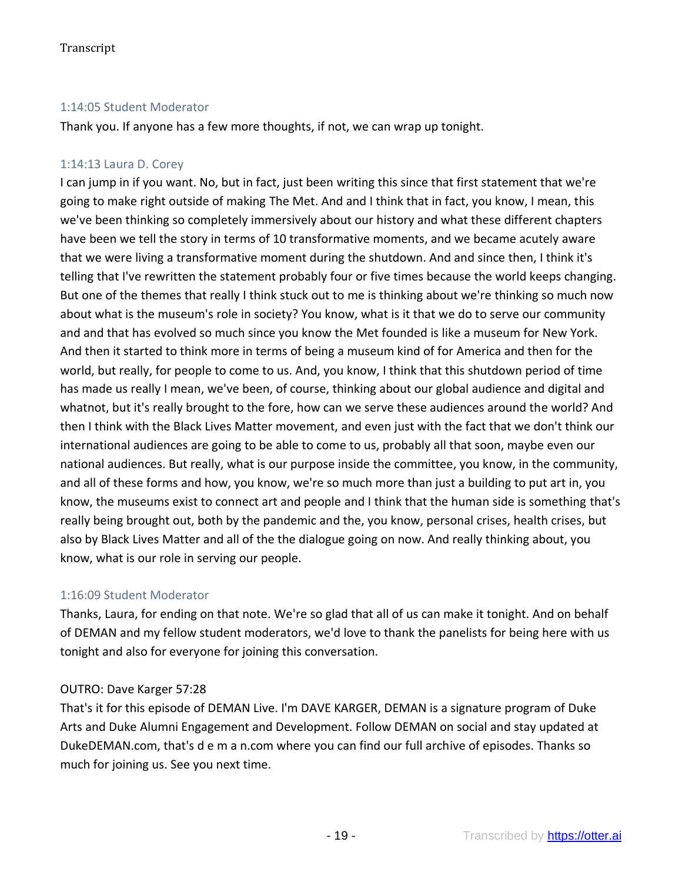## 1:14:05 Student Moderator

Thank you. If anyone has a few more thoughts, if not, we can wrap up tonight.

## 1:14:13 Laura D. Corey

I can jump in if you want. No, but in fact, just been writing this since that first statement that we're going to make right outside of making The Met. And and I think that in fact, you know, I mean, this we've been thinking so completely immersively about our history and what these different chapters have been we tell the story in terms of 10 transformative moments, and we became acutely aware that we were living a transformative moment during the shutdown. And and since then, I think it's telling that I've rewritten the statement probably four or five times because the world keeps changing. But one of the themes that really I think stuck out to me is thinking about we're thinking so much now about what is the museum's role in society? You know, what is it that we do to serve our community and and that has evolved so much since you know the Met founded is like a museum for New York. And then it started to think more in terms of being a museum kind of for America and then for the world, but really, for people to come to us. And, you know, I think that this shutdown period of time has made us really I mean, we've been, of course, thinking about our global audience and digital and whatnot, but it's really brought to the fore, how can we serve these audiences around the world? And then I think with the Black Lives Matter movement, and even just with the fact that we don't think our international audiences are going to be able to come to us, probably all that soon, maybe even our national audiences. But really, what is our purpose inside the committee, you know, in the community, and all of these forms and how, you know, we're so much more than just a building to put art in, you know, the museums exist to connect art and people and I think that the human side is something that's really being brought out, both by the pandemic and the, you know, personal crises, health crises, but also by Black Lives Matter and all of the the dialogue going on now. And really thinking about, you know, what is our role in serving our people.

## 1:16:09 Student Moderator

Thanks, Laura, for ending on that note. We're so glad that all of us can make it tonight. And on behalf of DEMAN and my fellow student moderators, we'd love to thank the panelists for being here with us tonight and also for everyone for joining this conversation.

## OUTRO: Dave Karger 57:28

That's it for this episode of DEMAN Live. I'm DAVE KARGER, DEMAN is a signature program of Duke Arts and Duke Alumni Engagement and Development. Follow DEMAN on social and stay updated at DukeDEMAN.com, that's d e m a n.com where you can find our full archive of episodes. Thanks so much for joining us. See you next time.